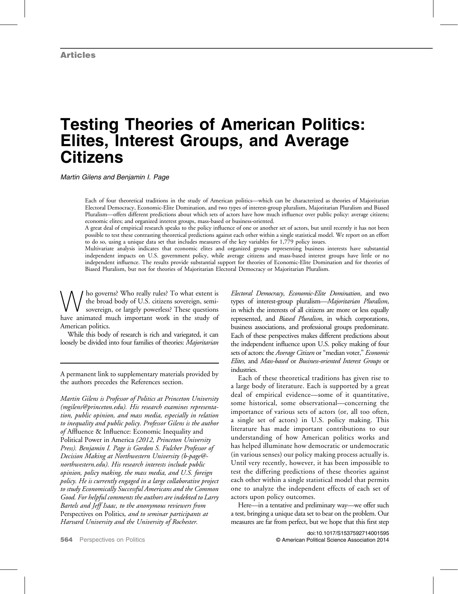# Testing Theories of American Politics: Elites, Interest Groups, and Average **Citizens**

Martin Gilens and Benjamin I. Page

Each of four theoretical traditions in the study of American politics—which can be characterized as theories of Majoritarian Electoral Democracy, Economic-Elite Domination, and two types of interest-group pluralism, Majoritarian Pluralism and Biased Pluralism—offers different predictions about which sets of actors have how much influence over public policy: average citizens; economic elites; and organized interest groups, mass-based or business-oriented.

A great deal of empirical research speaks to the policy influence of one or another set of actors, but until recently it has not been possible to test these contrasting theoretical predictions against each other within a single statistical model. We report on an effort to do so, using a unique data set that includes measures of the key variables for 1,779 policy issues.

Multivariate analysis indicates that economic elites and organized groups representing business interests have substantial independent impacts on U.S. government policy, while average citizens and mass-based interest groups have little or no independent influence. The results provide substantial support for theories of Economic-Elite Domination and for theories of Biased Pluralism, but not for theories of Majoritarian Electoral Democracy or Majoritarian Pluralism.

Who governs? Who really rules? To what extent is the broad body of U.S. citizens sovereign, semisovereign, or largely powerless? These questions have animated much important work in the study of American politics.

While this body of research is rich and variegated, it can loosely be divided into four families of theories: Majoritarian

A permanent link to supplementary materials provided by the authors precedes the References section.

Martin Gilens is Professor of Politics at Princeton University (mgilens@princeton.edu). His research examines representation, public opinion, and mass media, especially in relation to inequality and public policy. Professor Gilens is the author of Affluence & Influence: Economic Inequality and Political Power in America (2012, Princeton University Press). Benjamin I. Page is Gordon S. Fulcher Professor of Decision Making at Northwestern University (b-page@ northwestern.edu). His research interests include public opinion, policy making, the mass media, and U.S. foreign policy. He is currently engaged in a large collaborative project to study Economically Successful Americans and the Common Good. For helpful comments the authors are indebted to Larry Bartels and Jeff Isaac, to the anonymous reviewers from Perspectives on Politics, and to seminar participants at Harvard University and the University of Rochester.

Electoral Democracy, Economic-Elite Domination, and two types of interest-group pluralism—Majoritarian Pluralism, in which the interests of all citizens are more or less equally represented, and *Biased Pluralism*, in which corporations, business associations, and professional groups predominate. Each of these perspectives makes different predictions about the independent influence upon U.S. policy making of four sets of actors: the Average Citizen or "median voter," Economic Elites, and Mass-based or Business-oriented Interest Groups or industries.

Each of these theoretical traditions has given rise to a large body of literature. Each is supported by a great deal of empirical evidence—some of it quantitative, some historical, some observational—concerning the importance of various sets of actors (or, all too often, a single set of actors) in U.S. policy making. This literature has made important contributions to our understanding of how American politics works and has helped illuminate how democratic or undemocratic (in various senses) our policy making process actually is. Until very recently, however, it has been impossible to test the differing predictions of these theories against each other within a single statistical model that permits one to analyze the independent effects of each set of actors upon policy outcomes.

Here—in a tentative and preliminary way—we offer such a test, bringing a unique data set to bear on the problem. Our measures are far from perfect, but we hope that this first step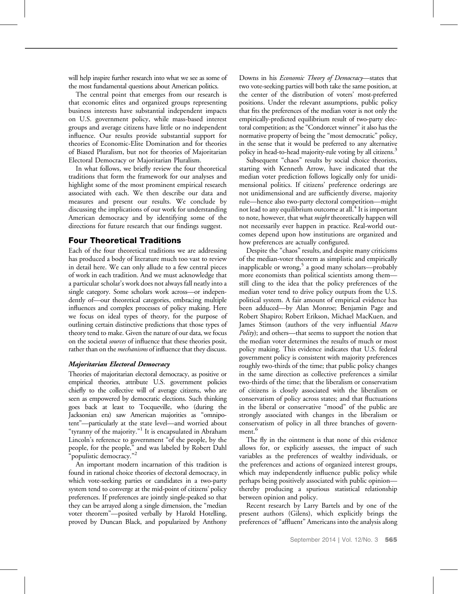will help inspire further research into what we see as some of the most fundamental questions about American politics.

The central point that emerges from our research is that economic elites and organized groups representing business interests have substantial independent impacts on U.S. government policy, while mass-based interest groups and average citizens have little or no independent influence. Our results provide substantial support for theories of Economic-Elite Domination and for theories of Biased Pluralism, but not for theories of Majoritarian Electoral Democracy or Majoritarian Pluralism.

In what follows, we briefly review the four theoretical traditions that form the framework for our analyses and highlight some of the most prominent empirical research associated with each. We then describe our data and measures and present our results. We conclude by discussing the implications of our work for understanding American democracy and by identifying some of the directions for future research that our findings suggest.

## Four Theoretical Traditions

Each of the four theoretical traditions we are addressing has produced a body of literature much too vast to review in detail here. We can only allude to a few central pieces of work in each tradition. And we must acknowledge that a particular scholar's work does not always fall neatly into a single category. Some scholars work across—or independently of—our theoretical categories, embracing multiple influences and complex processes of policy making. Here we focus on ideal types of theory, for the purpose of outlining certain distinctive predictions that those types of theory tend to make. Given the nature of our data, we focus on the societal sources of influence that these theories posit, rather than on the *mechanisms* of influence that they discuss.

#### Majoritarian Electoral Democracy

Theories of majoritarian electoral democracy, as positive or empirical theories, attribute U.S. government policies chiefly to the collective will of average citizens, who are seen as empowered by democratic elections. Such thinking goes back at least to Tocqueville, who (during the Jacksonian era) saw American majorities as "omnipotent"—particularly at the state level—and worried about "tyranny of the majority." <sup>1</sup> It is encapsulated in Abraham Lincoln's reference to government "of the people, by the people, for the people," and was labeled by Robert Dahl "populistic democracy." 2

An important modern incarnation of this tradition is found in rational choice theories of electoral democracy, in which vote-seeking parties or candidates in a two-party system tend to converge at the mid-point of citizens' policy preferences. If preferences are jointly single-peaked so that they can be arrayed along a single dimension, the "median voter theorem"—posited verbally by Harold Hotelling, proved by Duncan Black, and popularized by Anthony

Downs in his *Economic Theory of Democracy*—states that two vote-seeking parties will both take the same position, at the center of the distribution of voters' most-preferred positions. Under the relevant assumptions, public policy that fits the preferences of the median voter is not only the empirically-predicted equilibrium result of two-party electoral competition; as the "Condorcet winner" it also has the normative property of being the "most democratic" policy, in the sense that it would be preferred to any alternative policy in head-to-head majority-rule voting by all citizens.<sup>3</sup>

Subsequent "chaos" results by social choice theorists, starting with Kenneth Arrow, have indicated that the median voter prediction follows logically only for unidimensional politics. If citizens' preference orderings are not unidimensional and are sufficiently diverse, majority rule—hence also two-party electoral competition—might not lead to any equilibrium outcome at all. $4$  It is important to note, however, that what *might* theoretically happen will not necessarily ever happen in practice. Real-world outcomes depend upon how institutions are organized and how preferences are actually configured.

Despite the "chaos" results, and despite many criticisms of the median-voter theorem as simplistic and empirically inapplicable or wrong,<sup>5</sup> a good many scholars—probably more economists than political scientists among them still cling to the idea that the policy preferences of the median voter tend to drive policy outputs from the U.S. political system. A fair amount of empirical evidence has been adduced—by Alan Monroe; Benjamin Page and Robert Shapiro; Robert Erikson, Michael MacKuen, and James Stimson (authors of the very influential Macro *Polity*); and others—that seems to support the notion that the median voter determines the results of much or most policy making. This evidence indicates that U.S. federal government policy is consistent with majority preferences roughly two-thirds of the time; that public policy changes in the same direction as collective preferences a similar two-thirds of the time; that the liberalism or conservatism of citizens is closely associated with the liberalism or conservatism of policy across states; and that fluctuations in the liberal or conservative "mood" of the public are strongly associated with changes in the liberalism or conservatism of policy in all three branches of government.<sup>6</sup>

The fly in the ointment is that none of this evidence allows for, or explicitly assesses, the impact of such variables as the preferences of wealthy individuals, or the preferences and actions of organized interest groups, which may independently influence public policy while perhaps being positively associated with public opinion thereby producing a spurious statistical relationship between opinion and policy.

Recent research by Larry Bartels and by one of the present authors (Gilens), which explicitly brings the preferences of "affluent" Americans into the analysis along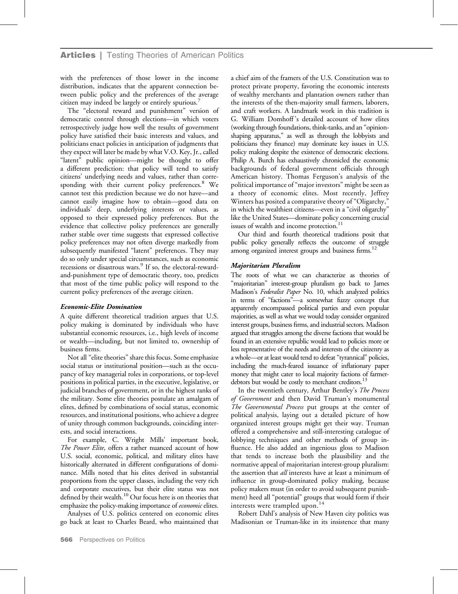with the preferences of those lower in the income distribution, indicates that the apparent connection between public policy and the preferences of the average citizen may indeed be largely or entirely spurious.<sup>7</sup>

The "electoral reward and punishment" version of democratic control through elections—in which voters retrospectively judge how well the results of government policy have satisfied their basic interests and values, and politicians enact policies in anticipation of judgments that they expect will later be made by what V.O. Key, Jr., called "latent" public opinion—might be thought to offer a different prediction: that policy will tend to satisfy citizens' underlying needs and values, rather than corresponding with their current policy preferences.<sup>8</sup> We cannot test this prediction because we do not have—and cannot easily imagine how to obtain—good data on individuals' deep, underlying interests or values, as opposed to their expressed policy preferences. But the evidence that collective policy preferences are generally rather stable over time suggests that expressed collective policy preferences may not often diverge markedly from subsequently manifested "latent" preferences. They may do so only under special circumstances, such as economic recessions or disastrous wars.<sup>9</sup> If so, the electoral-rewardand-punishment type of democratic theory, too, predicts that most of the time public policy will respond to the current policy preferences of the average citizen.

#### Economic-Elite Domination

A quite different theoretical tradition argues that U.S. policy making is dominated by individuals who have substantial economic resources, i.e., high levels of income or wealth—including, but not limited to, ownership of business firms.

Not all "elite theories" share this focus. Some emphasize social status or institutional position—such as the occupancy of key managerial roles in corporations, or top-level positions in political parties, in the executive, legislative, or judicial branches of government, or in the highest ranks of the military. Some elite theories postulate an amalgam of elites, defined by combinations of social status, economic resources, and institutional positions, who achieve a degree of unity through common backgrounds, coinciding interests, and social interactions.

For example, C. Wright Mills' important book, The Power Elite, offers a rather nuanced account of how U.S. social, economic, political, and military elites have historically alternated in different configurations of dominance. Mills noted that his elites derived in substantial proportions from the upper classes, including the very rich and corporate executives, but their elite status was not defined by their wealth.<sup>10</sup> Our focus here is on theories that emphasize the policy-making importance of *economic* elites.

Analyses of U.S. politics centered on economic elites go back at least to Charles Beard, who maintained that a chief aim of the framers of the U.S. Constitution was to protect private property, favoring the economic interests of wealthy merchants and plantation owners rather than the interests of the then-majority small farmers, laborers, and craft workers. A landmark work in this tradition is G. William Domhoff 's detailed account of how elites (working through foundations, think-tanks, and an "opinionshaping apparatus," as well as through the lobbyists and politicians they finance) may dominate key issues in U.S. policy making despite the existence of democratic elections. Philip A. Burch has exhaustively chronicled the economic backgrounds of federal government officials through American history. Thomas Ferguson's analysis of the political importance of"major investors" might be seen as a theory of economic elites. Most recently, Jeffrey Winters has posited a comparative theory of "Oligarchy," in which the wealthiest citizens—even in a "civil oligarchy" like the United States—dominate policy concerning crucial issues of wealth and income protection.<sup>11</sup>

Our third and fourth theoretical traditions posit that public policy generally reflects the outcome of struggle among organized interest groups and business firms.<sup>12</sup>

#### Majoritarian Pluralism

The roots of what we can characterize as theories of "majoritarian" interest-group pluralism go back to James Madison's Federalist Paper No. 10, which analyzed politics in terms of "factions"—a somewhat fuzzy concept that apparently encompassed political parties and even popular majorities, as well as what we would today consider organized interest groups, business firms, and industrial sectors. Madison argued that struggles among the diverse factions that would be found in an extensive republic would lead to policies more or less representative of the needs and interests of the citizenry as a whole—or at least would tend to defeat"tyrannical" policies, including the much-feared issuance of inflationary paper money that might cater to local majority factions of farmerdebtors but would be costly to merchant creditors.<sup>13</sup>

In the twentieth century, Arthur Bentley's The Process of Government and then David Truman's monumental The Governmental Process put groups at the center of political analysis, laying out a detailed picture of how organized interest groups might get their way. Truman offered a comprehensive and still-interesting catalogue of lobbying techniques and other methods of group influence. He also added an ingenious gloss to Madison that tends to increase both the plausibility and the normative appeal of majoritarian interest-group pluralism: the assertion that *all* interests have at least a minimum of influence in group-dominated policy making, because policy makers must (in order to avoid subsequent punishment) heed all "potential" groups that would form if their interests were trampled upon.<sup>14</sup>

Robert Dahl's analysis of New Haven city politics was Madisonian or Truman-like in its insistence that many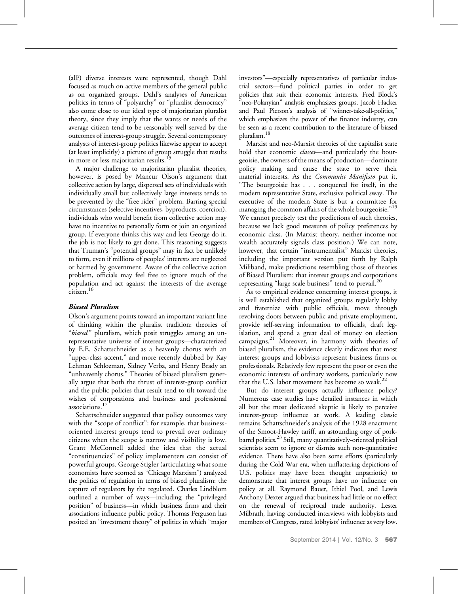(all?) diverse interests were represented, though Dahl focused as much on active members of the general public as on organized groups. Dahl's analyses of American politics in terms of "polyarchy" or "pluralist democracy" also come close to our ideal type of majoritarian pluralist theory, since they imply that the wants or needs of the average citizen tend to be reasonably well served by the outcomes of interest-group struggle. Several contemporary analysts of interest-group politics likewise appear to accept (at least implicitly) a picture of group struggle that results in more or less majoritarian results.<sup>15</sup>

A major challenge to majoritarian pluralist theories, however, is posed by Mancur Olson's argument that collective action by large, dispersed sets of individuals with individually small but collectively large interests tends to be prevented by the "free rider" problem. Barring special circumstances (selective incentives, byproducts, coercion), individuals who would benefit from collective action may have no incentive to personally form or join an organized group. If everyone thinks this way and lets George do it, the job is not likely to get done. This reasoning suggests that Truman's "potential groups" may in fact be unlikely to form, even if millions of peoples' interests are neglected or harmed by government. Aware of the collective action problem, officials may feel free to ignore much of the population and act against the interests of the average citizen.16

#### Biased Pluralism

Olson's argument points toward an important variant line of thinking within the pluralist tradition: theories of "biased" pluralism, which posit struggles among an unrepresentative universe of interest groups—characterized by E.E. Schattschneider as a heavenly chorus with an "upper-class accent," and more recently dubbed by Kay Lehman Schlozman, Sidney Verba, and Henry Brady an "unheavenly chorus." Theories of biased pluralism generally argue that both the thrust of interest-group conflict and the public policies that result tend to tilt toward the wishes of corporations and business and professional associations.<sup>17</sup>

Schattschneider suggested that policy outcomes vary with the "scope of conflict": for example, that businessoriented interest groups tend to prevail over ordinary citizens when the scope is narrow and visibility is low. Grant McConnell added the idea that the actual "constituencies" of policy implementers can consist of powerful groups. George Stigler (articulating what some economists have scorned as "Chicago Marxism") analyzed the politics of regulation in terms of biased pluralism: the capture of regulators by the regulated. Charles Lindblom outlined a number of ways—including the "privileged position" of business—in which business firms and their associations influence public policy. Thomas Ferguson has posited an "investment theory" of politics in which "major

investors"—especially representatives of particular industrial sectors—fund political parties in order to get policies that suit their economic interests. Fred Block's "neo-Polanyian" analysis emphasizes groups. Jacob Hacker and Paul Pierson's analysis of "winner-take-all-politics," which emphasizes the power of the finance industry, can be seen as a recent contribution to the literature of biased pluralism.18

Marxist and neo-Marxist theories of the capitalist state hold that economic *classes*—and particularly the bourgeoisie, the owners of the means of production—dominate policy making and cause the state to serve their material interests. As the Communist Manifesto put it, "The bourgeoisie has . . . conquered for itself, in the modern representative State, exclusive political sway. The executive of the modern State is but a committee for managing the common affairs of the whole bourgeoisie."<sup>19</sup> We cannot precisely test the predictions of such theories, because we lack good measures of policy preferences by economic class. (In Marxist theory, neither income nor wealth accurately signals class position.) We can note, however, that certain "instrumentalist" Marxist theories, including the important version put forth by Ralph Miliband, make predictions resembling those of theories of Biased Pluralism: that interest groups and corporations representing "large scale business" tend to prevail.<sup>20</sup>

As to empirical evidence concerning interest groups, it is well established that organized groups regularly lobby and fraternize with public officials, move through revolving doors between public and private employment, provide self-serving information to officials, draft legislation, and spend a great deal of money on election campaigns.<sup>21</sup> Moreover, in harmony with theories of biased pluralism, the evidence clearly indicates that most interest groups and lobbyists represent business firms or professionals. Relatively few represent the poor or even the economic interests of ordinary workers, particularly now that the U.S. labor movement has become so weak.<sup>22</sup>

But do interest groups actually influence policy? Numerous case studies have detailed instances in which all but the most dedicated skeptic is likely to perceive interest-group influence at work. A leading classic remains Schattschneider's analysis of the 1928 enactment of the Smoot-Hawley tariff, an astounding orgy of porkbarrel politics.<sup>23</sup> Still, many quantitatively-oriented political scientists seem to ignore or dismiss such non-quantitative evidence. There have also been some efforts (particularly during the Cold War era, when unflattering depictions of U.S. politics may have been thought unpatriotic) to demonstrate that interest groups have no influence on policy at all. Raymond Bauer, Ithiel Pool, and Lewis Anthony Dexter argued that business had little or no effect on the renewal of reciprocal trade authority. Lester Milbrath, having conducted interviews with lobbyists and members of Congress, rated lobbyists' influence as very low.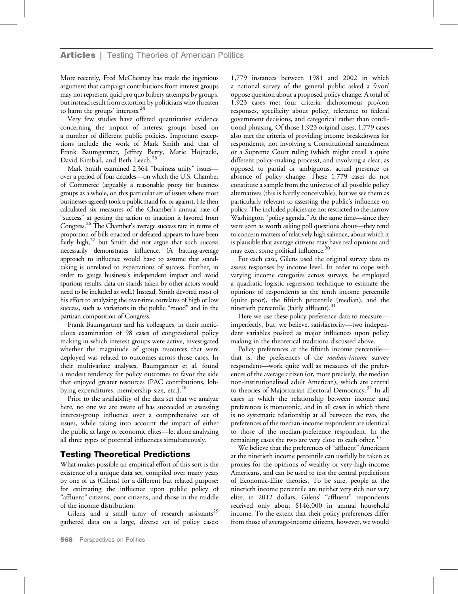More recently, Fred McChesney has made the ingenious argument that campaign contributions from interest groups may not represent quid pro quo bribery attempts by groups, but instead result from extortion by politicians who threaten to harm the groups' interests.<sup>24</sup>

Very few studies have offered quantitative evidence concerning the impact of interest groups based on a number of different public policies. Important exceptions include the work of Mark Smith and that of Frank Baumgartner, Jeffrey Berry, Marie Hojnacki, David Kimball, and Beth Leech.<sup>25</sup>

Mark Smith examined 2,364 "business unity" issues over a period of four decades—on which the U.S. Chamber of Commerce (arguably a reasonable proxy for business groups as a whole, on this particular set of issues where most businesses agreed) took a public stand for or against. He then calculated six measures of the Chamber's annual rate of "success" at getting the action or inaction it favored from Congress.26 The Chamber's average success rate in terms of proportion of bills enacted or defeated appears to have been fairly high, $27$  but Smith did not argue that such success necessarily demonstrates influence. (A batting-average approach to influence would have to assume that standtaking is unrelated to expectations of success. Further, in order to gauge business's independent impact and avoid spurious results, data on stands taken by other actors would need to be included as well.) Instead, Smith devoted most of his effort to analyzing the over-time correlates of high or low success, such as variations in the public "mood" and in the partisan composition of Congress.

Frank Baumgartner and his colleagues, in their meticulous examination of 98 cases of congressional policy making in which interest groups were active, investigated whether the magnitude of group resources that were deployed was related to outcomes across those cases. In their multivariate analyses, Baumgartner et al. found a modest tendency for policy outcomes to favor the side that enjoyed greater resources (PAC contributions, lobbying expenditures, membership size, etc.).<sup>28</sup>

Prior to the availability of the data set that we analyze here, no one we are aware of has succeeded at assessing interest-group influence over a comprehensive set of issues, while taking into account the impact of either the public at large or economic elites—let alone analyzing all three types of potential influences simultaneously.

## Testing Theoretical Predictions

What makes possible an empirical effort of this sort is the existence of a unique data set, compiled over many years by one of us (Gilens) for a different but related purpose: for estimating the influence upon public policy of "affluent" citizens, poor citizens, and those in the middle of the income distribution.

Gilens and a small army of research assistants<sup>29</sup> gathered data on a large, diverse set of policy cases:

1,779 instances between 1981 and 2002 in which a national survey of the general public asked a favor/ oppose question about a proposed policy change. A total of 1,923 cases met four criteria: dichotomous pro/con responses, specificity about policy, relevance to federal government decisions, and categorical rather than conditional phrasing. Of those 1,923 original cases, 1,779 cases also met the criteria of providing income breakdowns for respondents, not involving a Constitutional amendment or a Supreme Court ruling (which might entail a quite different policy-making process), and involving a clear, as opposed to partial or ambiguous, actual presence or absence of policy change. These 1,779 cases do not constitute a sample from the universe of all possible policy alternatives (this is hardly conceivable), but we see them as particularly relevant to assessing the public's influence on policy. The included policies are not restricted to the narrow Washington "policy agenda." At the same time—since they were seen as worth asking poll questions about—they tend to concern matters of relatively high salience, about which it is plausible that average citizens may have real opinions and may exert some political influence.<sup>3</sup>

For each case, Gilens used the original survey data to assess responses by income level. In order to cope with varying income categories across surveys, he employed a quadratic logistic regression technique to estimate the opinions of respondents at the tenth income percentile (quite poor), the fiftieth percentile (median), and the ninetieth percentile (fairly affluent). $31$ 

Here we use these policy preference data to measure imperfectly, but, we believe, satisfactorily—two independent variables posited as major influences upon policy making in the theoretical traditions discussed above.

Policy preferences at the fiftieth income percentile that is, the preferences of the *median-income* survey respondent—work quite well as measures of the preferences of the average citizen (or, more precisely, the median non-institutionalized adult American), which are central to theories of Majoritarian Electoral Democracy.<sup>32</sup> In all cases in which the relationship between income and preferences is monotonic, and in all cases in which there is no systematic relationship at all between the two, the preferences of the median-income respondent are identical to those of the median-preference respondent. In the remaining cases the two are very close to each other. $33$ 

We believe that the preferences of "affluent" Americans at the ninetieth income percentile can usefully be taken as proxies for the opinions of wealthy or very-high-income Americans, and can be used to test the central predictions of Economic-Elite theories. To be sure, people at the ninetieth income percentile are neither very rich nor very elite; in 2012 dollars, Gilens' "affluent" respondents received only about \$146,000 in annual household income. To the extent that their policy preferences differ from those of average-income citizens, however, we would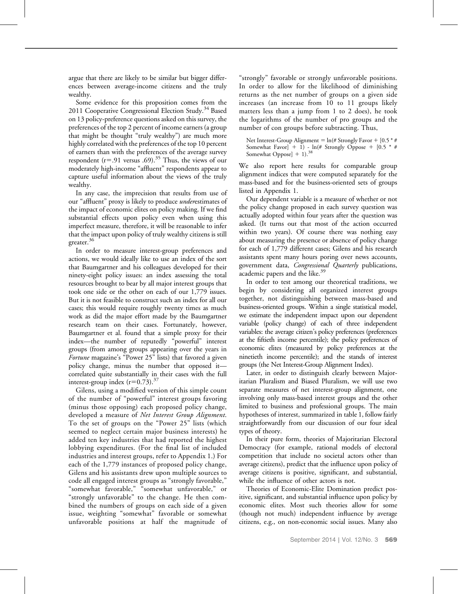argue that there are likely to be similar but bigger differences between average-income citizens and the truly wealthy.

Some evidence for this proposition comes from the 2011 Cooperative Congressional Election Study.<sup>34</sup> Based on 13 policy-preference questions asked on this survey, the preferences of the top 2 percent of income earners (a group that might be thought "truly wealthy") are much more highly correlated with the preferences of the top 10 percent of earners than with the preferences of the average survey respondent ( $r = .91$  versus .69).<sup>35</sup> Thus, the views of our moderately high-income "affluent" respondents appear to capture useful information about the views of the truly wealthy.

In any case, the imprecision that results from use of our "affluent" proxy is likely to produce *underestimates* of the impact of economic elites on policy making. If we find substantial effects upon policy even when using this imperfect measure, therefore, it will be reasonable to infer that the impact upon policy of truly wealthy citizens is still greater.<sup>36</sup>

In order to measure interest-group preferences and actions, we would ideally like to use an index of the sort that Baumgartner and his colleagues developed for their ninety-eight policy issues: an index assessing the total resources brought to bear by all major interest groups that took one side or the other on each of our 1,779 issues. But it is not feasible to construct such an index for all our cases; this would require roughly twenty times as much work as did the major effort made by the Baumgartner research team on their cases. Fortunately, however, Baumgartner et al. found that a simple proxy for their index—the number of reputedly "powerful" interest groups (from among groups appearing over the years in Fortune magazine's "Power 25" lists) that favored a given policy change, minus the number that opposed it correlated quite substantially in their cases with the full interest-group index  $(r=0.73).$ <sup>37</sup>

Gilens, using a modified version of this simple count of the number of "powerful" interest groups favoring (minus those opposing) each proposed policy change, developed a measure of Net Interest Group Alignment. To the set of groups on the "Power 25" lists (which seemed to neglect certain major business interests) he added ten key industries that had reported the highest lobbying expenditures. (For the final list of included industries and interest groups, refer to Appendix 1.) For each of the 1,779 instances of proposed policy change, Gilens and his assistants drew upon multiple sources to code all engaged interest groups as "strongly favorable," "somewhat favorable," "somewhat unfavorable," or "strongly unfavorable" to the change. He then combined the numbers of groups on each side of a given issue, weighting "somewhat" favorable or somewhat unfavorable positions at half the magnitude of

"strongly" favorable or strongly unfavorable positions. In order to allow for the likelihood of diminishing returns as the net number of groups on a given side increases (an increase from 10 to 11 groups likely matters less than a jump from 1 to 2 does), he took the logarithms of the number of pro groups and the number of con groups before subtracting. Thus,

Net Interest-Group Alignment =  $ln(\# \text{Strongly Favor} + [0.5 * #$ Somewhat Favor]  $+$  1) - ln(# Strongly Oppose  $+$  [0.5  $*$  # Somewhat Oppose]  $+$  1).<sup>38</sup>

We also report here results for comparable group alignment indices that were computed separately for the mass-based and for the business-oriented sets of groups listed in Appendix 1.

Our dependent variable is a measure of whether or not the policy change proposed in each survey question was actually adopted within four years after the question was asked. (It turns out that most of the action occurred within two years). Of course there was nothing easy about measuring the presence or absence of policy change for each of 1,779 different cases; Gilens and his research assistants spent many hours poring over news accounts, government data, Congressional Quarterly publications, academic papers and the like.<sup>39</sup>

In order to test among our theoretical traditions, we begin by considering all organized interest groups together, not distinguishing between mass-based and business-oriented groups. Within a single statistical model, we estimate the independent impact upon our dependent variable (policy change) of each of three independent variables: the average citizen's policy preferences (preferences at the fiftieth income percentile); the policy preferences of economic elites (measured by policy preferences at the ninetieth income percentile); and the stands of interest groups (the Net Interest-Group Alignment Index).

Later, in order to distinguish clearly between Majoritarian Pluralism and Biased Pluralism, we will use two separate measures of net interest-group alignment, one involving only mass-based interest groups and the other limited to business and professional groups. The main hypotheses of interest, summarized in table 1, follow fairly straightforwardly from our discussion of our four ideal types of theory.

In their pure form, theories of Majoritarian Electoral Democracy (for example, rational models of electoral competition that include no societal actors other than average citizens), predict that the influence upon policy of average citizens is positive, significant, and substantial, while the influence of other actors is not.

Theories of Economic-Elite Domination predict positive, significant, and substantial influence upon policy by economic elites. Most such theories allow for some (though not much) independent influence by average citizens, e.g., on non-economic social issues. Many also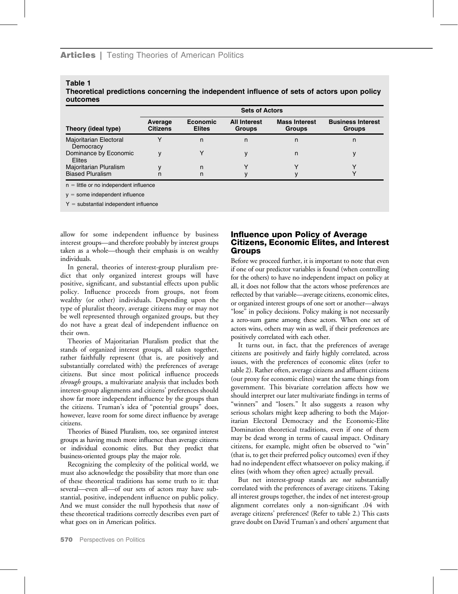#### Table 1

|                                                   | <b>Sets of Actors</b>      |                                  |                                      |                                       |                                           |
|---------------------------------------------------|----------------------------|----------------------------------|--------------------------------------|---------------------------------------|-------------------------------------------|
| Theory (ideal type)                               | Average<br><b>Citizens</b> | <b>Economic</b><br><b>Elites</b> | <b>All Interest</b><br><b>Groups</b> | <b>Mass Interest</b><br><b>Groups</b> | <b>Business Interest</b><br><b>Groups</b> |
| Majoritarian Electoral<br>Democracy               |                            | n                                | n                                    | n                                     | n                                         |
| Dominance by Economic<br><b>Elites</b>            |                            |                                  |                                      | n                                     |                                           |
| Majoritarian Pluralism<br><b>Biased Pluralism</b> | n                          | n<br>n                           |                                      |                                       |                                           |

Theoretical predictions concerning the independent influence of sets of actors upon policy outcomes

 $n =$  little or no independent influence

 $y =$  some independent influence

 $Y =$  substantial independent influence

allow for some independent influence by business interest groups—and therefore probably by interest groups taken as a whole—though their emphasis is on wealthy individuals.

In general, theories of interest-group pluralism predict that only organized interest groups will have positive, significant, and substantial effects upon public policy. Influence proceeds from groups, not from wealthy (or other) individuals. Depending upon the type of pluralist theory, average citizens may or may not be well represented through organized groups, but they do not have a great deal of independent influence on their own.

Theories of Majoritarian Pluralism predict that the stands of organized interest groups, all taken together, rather faithfully represent (that is, are positively and substantially correlated with) the preferences of average citizens. But since most political influence proceeds through groups, a multivariate analysis that includes both interest-group alignments and citizens' preferences should show far more independent influence by the groups than the citizens. Truman's idea of "potential groups" does, however, leave room for some direct influence by average citizens.

Theories of Biased Pluralism, too, see organized interest groups as having much more influence than average citizens or individual economic elites. But they predict that business-oriented groups play the major role.

Recognizing the complexity of the political world, we must also acknowledge the possibility that more than one of these theoretical traditions has some truth to it: that several—even all—of our sets of actors may have substantial, positive, independent influence on public policy. And we must consider the null hypothesis that none of these theoretical traditions correctly describes even part of what goes on in American politics.

#### Influence upon Policy of Average Citizens, Economic Elites, and Interest Groups

Before we proceed further, it is important to note that even if one of our predictor variables is found (when controlling for the others) to have no independent impact on policy at all, it does not follow that the actors whose preferences are reflected by that variable—average citizens, economic elites, or organized interest groups of one sort or another—always "lose" in policy decisions. Policy making is not necessarily a zero-sum game among these actors. When one set of actors wins, others may win as well, if their preferences are positively correlated with each other.

It turns out, in fact, that the preferences of average citizens are positively and fairly highly correlated, across issues, with the preferences of economic elites (refer to table 2). Rather often, average citizens and affluent citizens (our proxy for economic elites) want the same things from government. This bivariate correlation affects how we should interpret our later multivariate findings in terms of "winners" and "losers." It also suggests a reason why serious scholars might keep adhering to both the Majoritarian Electoral Democracy and the Economic-Elite Domination theoretical traditions, even if one of them may be dead wrong in terms of causal impact. Ordinary citizens, for example, might often be observed to "win" (that is, to get their preferred policy outcomes) even if they had no independent effect whatsoever on policy making, if elites (with whom they often agree) actually prevail.

But net interest-group stands are *not* substantially correlated with the preferences of average citizens. Taking all interest groups together, the index of net interest-group alignment correlates only a non-significant .04 with average citizens' preferences! (Refer to table 2.) This casts grave doubt on David Truman's and others'argument that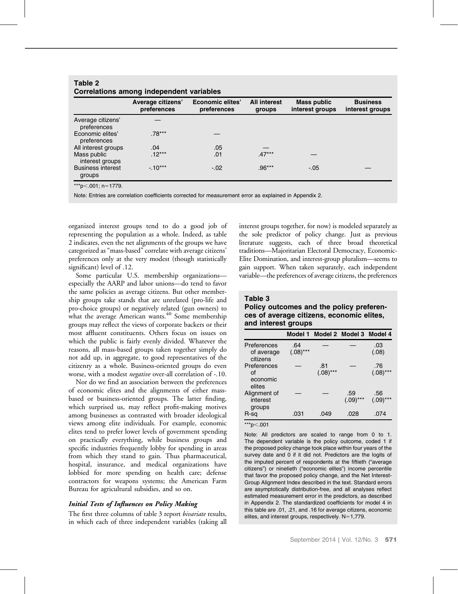| Correlations among independent variables |                                  |                                        |                               |                                |                                    |
|------------------------------------------|----------------------------------|----------------------------------------|-------------------------------|--------------------------------|------------------------------------|
|                                          | Average citizens'<br>preferences | <b>Economic elites'</b><br>preferences | <b>All interest</b><br>groups | Mass public<br>interest groups | <b>Business</b><br>interest groups |
| Average citizens'<br>preferences         |                                  |                                        |                               |                                |                                    |
| Economic elites'<br>preferences          | $.78***$                         |                                        |                               |                                |                                    |
| All interest groups                      | .04                              | .05                                    |                               |                                |                                    |
| Mass public<br>interest groups           | $.12***$                         | .01                                    | $.47***$                      |                                |                                    |
| <b>Business interest</b><br>groups       | $-.10***$                        | $-.02$                                 | $.96***$                      | $-.05$                         |                                    |
| ***p<.001: $n=1779$ .                    |                                  |                                        |                               |                                |                                    |

## Table 2

\*\*\*p<.001; n=1779.

Note: Entries are correlation coefficients corrected for measurement error as explained in Appendix 2.

organized interest groups tend to do a good job of representing the population as a whole. Indeed, as table 2 indicates, even the net alignments of the groups we have categorized as "mass-based" correlate with average citizens' preferences only at the very modest (though statistically significant) level of .12.

Some particular U.S. membership organizations especially the AARP and labor unions—do tend to favor the same policies as average citizens. But other membership groups take stands that are unrelated (pro-life and pro-choice groups) or negatively related (gun owners) to what the average American wants.<sup>40</sup> Some membership groups may reflect the views of corporate backers or their most affluent constituents. Others focus on issues on which the public is fairly evenly divided. Whatever the reasons, all mass-based groups taken together simply do not add up, in aggregate, to good representatives of the citizenry as a whole. Business-oriented groups do even worse, with a modest *negative* over-all correlation of -.10.

Nor do we find an association between the preferences of economic elites and the alignments of either massbased or business-oriented groups. The latter finding, which surprised us, may reflect profit-making motives among businesses as contrasted with broader ideological views among elite individuals. For example, economic elites tend to prefer lower levels of government spending on practically everything, while business groups and specific industries frequently lobby for spending in areas from which they stand to gain. Thus pharmaceutical, hospital, insurance, and medical organizations have lobbied for more spending on health care; defense contractors for weapons systems; the American Farm Bureau for agricultural subsidies, and so on.

#### Initial Tests of Influences on Policy Making

The first three columns of table 3 report *bivariate* results, in which each of three independent variables (taking all interest groups together, for now) is modeled separately as the sole predictor of policy change. Just as previous literature suggests, each of three broad theoretical traditions—Majoritarian Electoral Democracy, Economic-Elite Domination, and interest-group pluralism—seems to gain support. When taken separately, each independent variable—the preferences of average citizens, the preferences

#### Table 3

#### Policy outcomes and the policy preferences of average citizens, economic elites, and interest groups

|                                         |                    | Model 1 Model 2 Model 3 Model 4 |                    |                      |
|-----------------------------------------|--------------------|---------------------------------|--------------------|----------------------|
| Preferences<br>of average<br>citizens   | .64<br>$(.08)$ *** |                                 |                    | .03<br>(.08)         |
| Preferences<br>Ωf<br>economic<br>elites |                    | .81<br>$(.08)***$               |                    | .76<br>$(.08)$ ***   |
| Alignment of<br>interest<br>groups      |                    |                                 | .59<br>$(.09)$ *** | .56<br>$***$<br>.09) |
| R-sa                                    | .031               | .049                            | .028               | .074                 |

 $***p<.001$ 

Note: All predictors are scaled to range from 0 to 1. The dependent variable is the policy outcome, coded 1 if the proposed policy change took place within four years of the survey date and 0 if it did not. Predictors are the logits of the imputed percent of respondents at the fiftieth ("average citizens") or ninetieth ("economic elites") income percentile that favor the proposed policy change, and the Net Interest-Group Alignment Index described in the text. Standard errors are asymptotically distribution-free, and all analyses reflect estimated measurement error in the predictors, as described in Appendix 2. The standardized coefficients for model 4 in this table are .01, .21, and .16 for average citizens, economic elites, and interest groups, respectively.  $N=1,779$ .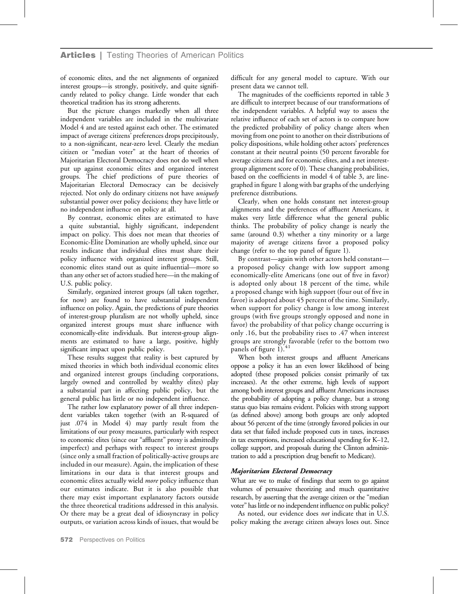of economic elites, and the net alignments of organized interest groups—is strongly, positively, and quite significantly related to policy change. Little wonder that each theoretical tradition has its strong adherents.

But the picture changes markedly when all three independent variables are included in the multivariate Model 4 and are tested against each other. The estimated impact of average citizens' preferences drops precipitously, to a non-significant, near-zero level. Clearly the median citizen or "median voter" at the heart of theories of Majoritarian Electoral Democracy does not do well when put up against economic elites and organized interest groups. The chief predictions of pure theories of Majoritarian Electoral Democracy can be decisively rejected. Not only do ordinary citizens not have *uniquely* substantial power over policy decisions; they have little or no independent influence on policy at all.

By contrast, economic elites are estimated to have a quite substantial, highly significant, independent impact on policy. This does not mean that theories of Economic-Elite Domination are wholly upheld, since our results indicate that individual elites must share their policy influence with organized interest groups. Still, economic elites stand out as quite influential—more so than any other set of actors studied here—in the making of U.S. public policy.

Similarly, organized interest groups (all taken together, for now) are found to have substantial independent influence on policy. Again, the predictions of pure theories of interest-group pluralism are not wholly upheld, since organized interest groups must share influence with economically-elite individuals. But interest-group alignments are estimated to have a large, positive, highly significant impact upon public policy.

These results suggest that reality is best captured by mixed theories in which both individual economic elites and organized interest groups (including corporations, largely owned and controlled by wealthy elites) play a substantial part in affecting public policy, but the general public has little or no independent influence.

The rather low explanatory power of all three independent variables taken together (with an R-squared of just .074 in Model 4) may partly result from the limitations of our proxy measures, particularly with respect to economic elites (since our "affluent" proxy is admittedly imperfect) and perhaps with respect to interest groups (since only a small fraction of politically-active groups are included in our measure). Again, the implication of these limitations in our data is that interest groups and economic elites actually wield *more* policy influence than our estimates indicate. But it is also possible that there may exist important explanatory factors outside the three theoretical traditions addressed in this analysis. Or there may be a great deal of idiosyncrasy in policy outputs, or variation across kinds of issues, that would be difficult for any general model to capture. With our present data we cannot tell.

The magnitudes of the coefficients reported in table 3 are difficult to interpret because of our transformations of the independent variables. A helpful way to assess the relative influence of each set of actors is to compare how the predicted probability of policy change alters when moving from one point to another on their distributions of policy dispositions, while holding other actors' preferences constant at their neutral points (50 percent favorable for average citizens and for economic elites, and a net interestgroup alignment score of 0). These changing probabilities, based on the coefficients in model 4 of table 3, are linegraphed in figure 1 along with bar graphs of the underlying preference distributions.

Clearly, when one holds constant net interest-group alignments and the preferences of affluent Americans, it makes very little difference what the general public thinks. The probability of policy change is nearly the same (around 0.3) whether a tiny minority or a large majority of average citizens favor a proposed policy change (refer to the top panel of figure 1).

By contrast—again with other actors held constant a proposed policy change with low support among economically-elite Americans (one out of five in favor) is adopted only about 18 percent of the time, while a proposed change with high support (four out of five in favor) is adopted about 45 percent of the time. Similarly, when support for policy change is low among interest groups (with five groups strongly opposed and none in favor) the probability of that policy change occurring is only .16, but the probability rises to .47 when interest groups are strongly favorable (refer to the bottom two panels of figure 1).<sup>41</sup>

When both interest groups and affluent Americans oppose a policy it has an even lower likelihood of being adopted (these proposed policies consist primarily of tax increases). At the other extreme, high levels of support among both interest groups and affluent Americans increases the probability of adopting a policy change, but a strong status quo bias remains evident. Policies with strong support (as defined above) among both groups are only adopted about 56 percent of the time (strongly favored policies in our data set that failed include proposed cuts in taxes, increases in tax exemptions, increased educational spending for K–12, college support, and proposals during the Clinton administration to add a prescription drug benefit to Medicare).

#### Majoritarian Electoral Democracy

What are we to make of findings that seem to go against volumes of persuasive theorizing and much quantitative research, by asserting that the average citizen or the "median voter" has little or no independent influence on public policy?

As noted, our evidence does *not* indicate that in U.S. policy making the average citizen always loses out. Since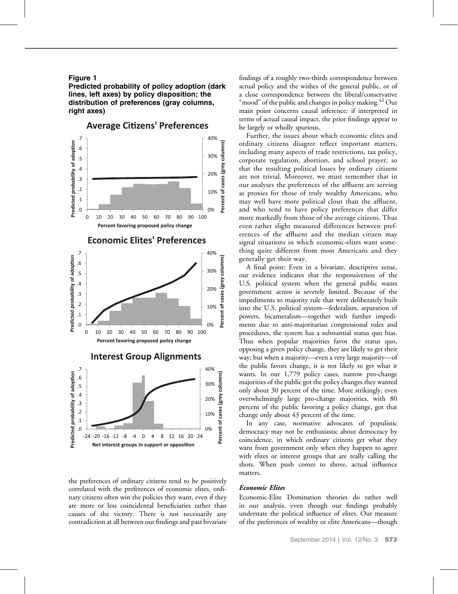#### Figure 1

Predicted probability of policy adoption (dark lines, left axes) by policy disposition; the distribution of preferences (gray columns, right axes)

**Average Citizens' Preferences** 



the preferences of ordinary citizens tend to be positively correlated with the preferences of economic elites, ordinary citizens often win the policies they want, even if they are more or less coincidental beneficiaries rather than causes of the victory. There is not necessarily any contradiction at all between our findings and past bivariate findings of a roughly two-thirds correspondence between actual policy and the wishes of the general public, or of a close correspondence between the liberal/conservative "mood" of the public and changes in policy making.<sup>42</sup> Our main point concerns causal inference: if interpreted in terms of actual causal impact, the prior findings appear to be largely or wholly spurious.

Further, the issues about which economic elites and ordinary citizens disagree reflect important matters, including many aspects of trade restrictions, tax policy, corporate regulation, abortion, and school prayer, so that the resulting political losses by ordinary citizens are not trivial. Moreover, we must remember that in our analyses the preferences of the affluent are serving as proxies for those of truly wealthy Americans, who may well have more political clout than the affluent, and who tend to have policy preferences that differ more markedly from those of the average citizens. Thus even rather slight measured differences between preferences of the affluent and the median citizen may signal situations in which economic-elites want something quite different from most Americans and they generally get their way.

A final point: Even in a bivariate, descriptive sense, our evidence indicates that the responsiveness of the U.S. political system when the general public wants government action is severely limited. Because of the impediments to majority rule that were deliberately built into the U.S. political system—federalism, separation of powers, bicameralism—together with further impediments due to anti-majoritarian congressional rules and procedures, the system has a substantial status quo bias. Thus when popular majorities favor the status quo, opposing a given policy change, they are likely to get their way; but when a majority—even a very large majority—of the public favors change, it is not likely to get what it wants. In our 1,779 policy cases, narrow pro-change majorities of the public got the policy changes they wanted only about 30 percent of the time. More strikingly, even overwhelmingly large pro-change majorities, with 80 percent of the public favoring a policy change, got that change only about 43 percent of the time.

In any case, normative advocates of populistic democracy may not be enthusiastic about democracy by coincidence, in which ordinary citizens get what they want from government only when they happen to agree with elites or interest groups that are really calling the shots. When push comes to shove, actual influence matters.

#### Economic Elites

Economic-Elite Domination theories do rather well in our analysis, even though our findings probably understate the political influence of elites. Our measure of the preferences of wealthy or elite Americans—though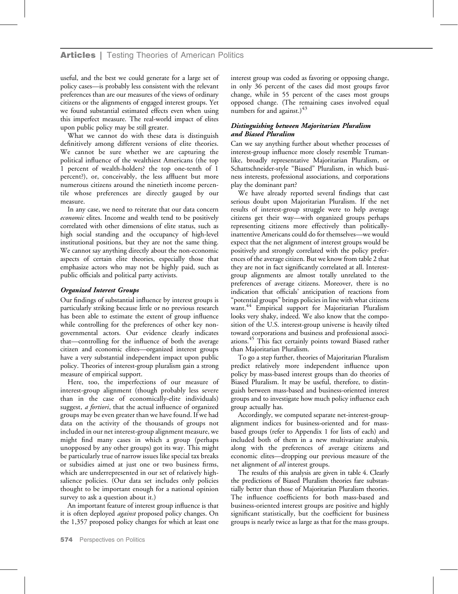useful, and the best we could generate for a large set of policy cases—is probably less consistent with the relevant preferences than are our measures of the views of ordinary citizens or the alignments of engaged interest groups. Yet we found substantial estimated effects even when using this imperfect measure. The real-world impact of elites upon public policy may be still greater.

What we cannot do with these data is distinguish definitively among different versions of elite theories. We cannot be sure whether we are capturing the political influence of the wealthiest Americans (the top 1 percent of wealth-holders? the top one-tenth of 1 percent?), or, conceivably, the less affluent but more numerous citizens around the ninetieth income percentile whose preferences are directly gauged by our measure.

In any case, we need to reiterate that our data concern economic elites. Income and wealth tend to be positively correlated with other dimensions of elite status, such as high social standing and the occupancy of high-level institutional positions, but they are not the same thing. We cannot say anything directly about the non-economic aspects of certain elite theories, especially those that emphasize actors who may not be highly paid, such as public officials and political party activists.

#### Organized Interest Groups

Our findings of substantial influence by interest groups is particularly striking because little or no previous research has been able to estimate the extent of group influence while controlling for the preferences of other key nongovernmental actors. Our evidence clearly indicates that—controlling for the influence of both the average citizen and economic elites—organized interest groups have a very substantial independent impact upon public policy. Theories of interest-group pluralism gain a strong measure of empirical support.

Here, too, the imperfections of our measure of interest-group alignment (though probably less severe than in the case of economically-elite individuals) suggest, *a fortiori*, that the actual influence of organized groups may be even greater than we have found. If we had data on the activity of the thousands of groups not included in our net interest-group alignment measure, we might find many cases in which a group (perhaps unopposed by any other groups) got its way. This might be particularly true of narrow issues like special tax breaks or subsidies aimed at just one or two business firms, which are underrepresented in our set of relatively highsalience policies. (Our data set includes only policies thought to be important enough for a national opinion survey to ask a question about it.)

An important feature of interest group influence is that it is often deployed *against* proposed policy changes. On the 1,357 proposed policy changes for which at least one interest group was coded as favoring or opposing change, in only 36 percent of the cases did most groups favor change, while in 55 percent of the cases most groups opposed change. (The remaining cases involved equal numbers for and against.) $43$ 

#### Distinguishing between Majoritarian Pluralism and Biased Pluralism

Can we say anything further about whether processes of interest-group influence more closely resemble Trumanlike, broadly representative Majoritarian Pluralism, or Schattschneider-style "Biased" Pluralism, in which business interests, professional associations, and corporations play the dominant part?

We have already reported several findings that cast serious doubt upon Majoritarian Pluralism. If the net results of interest-group struggle were to help average citizens get their way—with organized groups perhaps representing citizens more effectively than politicallyinattentive Americans could do for themselves—we would expect that the net alignment of interest groups would be positively and strongly correlated with the policy preferences of the average citizen. But we know from table 2 that they are not in fact significantly correlated at all. Interestgroup alignments are almost totally unrelated to the preferences of average citizens. Moreover, there is no indication that officials' anticipation of reactions from "potential groups" brings policies in line with what citizens want.<sup>44</sup> Empirical support for Majoritarian Pluralism looks very shaky, indeed. We also know that the composition of the U.S. interest-group universe is heavily tilted toward corporations and business and professional associations.45 This fact certainly points toward Biased rather than Majoritarian Pluralism.

To go a step further, theories of Majoritarian Pluralism predict relatively more independent influence upon policy by mass-based interest groups than do theories of Biased Pluralism. It may be useful, therefore, to distinguish between mass-based and business-oriented interest groups and to investigate how much policy influence each group actually has.

Accordingly, we computed separate net-interest-groupalignment indices for business-oriented and for massbased groups (refer to Appendix 1 for lists of each) and included both of them in a new multivariate analysis, along with the preferences of average citizens and economic elites—dropping our previous measure of the net alignment of all interest groups.

The results of this analysis are given in table 4. Clearly the predictions of Biased Pluralism theories fare substantially better than those of Majoritarian Pluralism theories. The influence coefficients for both mass-based and business-oriented interest groups are positive and highly significant statistically, but the coefficient for business groups is nearly twice as large as that for the mass groups.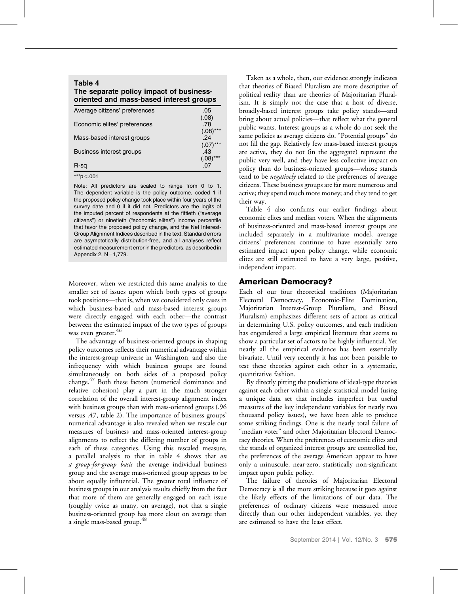| Table 4                                 |  |
|-----------------------------------------|--|
| The separate policy impact of business- |  |
| oriented and mass-based interest groups |  |

| Average citizens' preferences | .05<br>(.08) |
|-------------------------------|--------------|
| Economic elites' preferences  | .78          |
| Mass-based interest groups    | (.08)<br>24  |
| Business interest groups      | (.07)<br>.43 |
| R-sq                          |              |

 $***p<.001$ 

Note: All predictors are scaled to range from 0 to 1. The dependent variable is the policy outcome, coded 1 if the proposed policy change took place within four years of the survey date and 0 if it did not. Predictors are the logits of the imputed percent of respondents at the fiftieth ("average citizens") or ninetieth ("economic elites") income percentile that favor the proposed policy change, and the Net Interest-Group Alignment Indices described in the text. Standard errors are asymptotically distribution-free, and all analyses reflect estimated measurement error in the predictors, as described in Appendix 2.  $N=1,779$ .

Moreover, when we restricted this same analysis to the smaller set of issues upon which both types of groups took positions—that is, when we considered only cases in which business-based and mass-based interest groups were directly engaged with each other—the contrast between the estimated impact of the two types of groups was even greater.<sup>46</sup>

The advantage of business-oriented groups in shaping policy outcomes reflects their numerical advantage within the interest-group universe in Washington, and also the infrequency with which business groups are found simultaneously on both sides of a proposed policy change.47 Both these factors (numerical dominance and relative cohesion) play a part in the much stronger correlation of the overall interest-group alignment index with business groups than with mass-oriented groups (.96 versus .47, table 2). The importance of business groups' numerical advantage is also revealed when we rescale our measures of business and mass-oriented interest-group alignments to reflect the differing number of groups in each of these categories. Using this rescaled measure, a parallel analysis to that in table 4 shows that on a group-for-group basis the average individual business group and the average mass-oriented group appears to be about equally influential. The greater total influence of business groups in our analysis results chiefly from the fact that more of them are generally engaged on each issue (roughly twice as many, on average), not that a single business-oriented group has more clout on average than a single mass-based group.<sup>48</sup>

Taken as a whole, then, our evidence strongly indicates that theories of Biased Pluralism are more descriptive of political reality than are theories of Majoritarian Pluralism. It is simply not the case that a host of diverse, broadly-based interest groups take policy stands—and bring about actual policies—that reflect what the general public wants. Interest groups as a whole do not seek the same policies as average citizens do. "Potential groups" do not fill the gap. Relatively few mass-based interest groups are active, they do not (in the aggregate) represent the public very well, and they have less collective impact on policy than do business-oriented groups—whose stands tend to be *negatively* related to the preferences of average citizens. These business groups are far more numerous and active; they spend much more money; and they tend to get their way.

Table 4 also confirms our earlier findings about economic elites and median voters. When the alignments of business-oriented and mass-based interest groups are included separately in a multivariate model, average citizens' preferences continue to have essentially zero estimated impact upon policy change, while economic elites are still estimated to have a very large, positive, independent impact.

## American Democracy?

Each of our four theoretical traditions (Majoritarian Electoral Democracy, Economic-Elite Domination, Majoritarian Interest-Group Pluralism, and Biased Pluralism) emphasizes different sets of actors as critical in determining U.S. policy outcomes, and each tradition has engendered a large empirical literature that seems to show a particular set of actors to be highly influential. Yet nearly all the empirical evidence has been essentially bivariate. Until very recently it has not been possible to test these theories against each other in a systematic, quantitative fashion.

By directly pitting the predictions of ideal-type theories against each other within a single statistical model (using a unique data set that includes imperfect but useful measures of the key independent variables for nearly two thousand policy issues), we have been able to produce some striking findings. One is the nearly total failure of "median voter" and other Majoritarian Electoral Democracy theories. When the preferences of economic elites and the stands of organized interest groups are controlled for, the preferences of the average American appear to have only a minuscule, near-zero, statistically non-significant impact upon public policy.

The failure of theories of Majoritarian Electoral Democracy is all the more striking because it goes against the likely effects of the limitations of our data. The preferences of ordinary citizens were measured more directly than our other independent variables, yet they are estimated to have the least effect.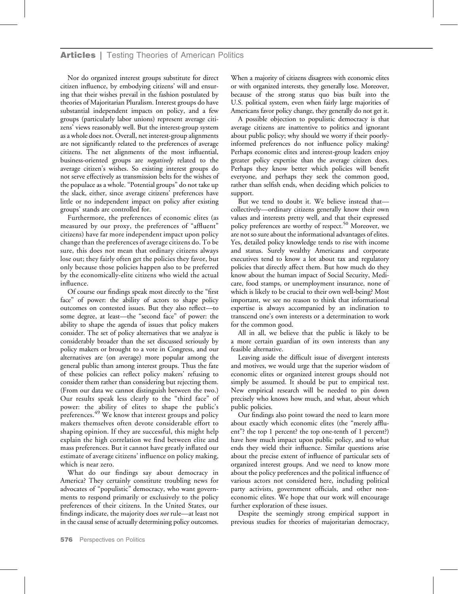## **Articles** | Testing Theories of American Politics

Nor do organized interest groups substitute for direct citizen influence, by embodying citizens' will and ensuring that their wishes prevail in the fashion postulated by theories of Majoritarian Pluralism. Interest groups do have substantial independent impacts on policy, and a few groups (particularly labor unions) represent average citizens' views reasonably well. But the interest-group system as a whole does not. Overall, net interest-group alignments are not significantly related to the preferences of average citizens. The net alignments of the most influential, business-oriented groups are negatively related to the average citizen's wishes. So existing interest groups do not serve effectively as transmission belts for the wishes of the populace as a whole. "Potential groups" do not take up the slack, either, since average citizens' preferences have little or no independent impact on policy after existing groups' stands are controlled for.

Furthermore, the preferences of economic elites (as measured by our proxy, the preferences of "affluent" citizens) have far more independent impact upon policy change than the preferences of average citizens do. To be sure, this does not mean that ordinary citizens always lose out; they fairly often get the policies they favor, but only because those policies happen also to be preferred by the economically-elite citizens who wield the actual influence.

Of course our findings speak most directly to the "first face" of power: the ability of actors to shape policy outcomes on contested issues. But they also reflect—to some degree, at least—the "second face" of power: the ability to shape the agenda of issues that policy makers consider. The set of policy alternatives that we analyze is considerably broader than the set discussed seriously by policy makers or brought to a vote in Congress, and our alternatives are (on average) more popular among the general public than among interest groups. Thus the fate of these policies can reflect policy makers' refusing to consider them rather than considering but rejecting them. (From our data we cannot distinguish between the two.) Our results speak less clearly to the "third face" of power: the ability of elites to shape the public's preferences.<sup>49</sup> We know that interest groups and policy makers themselves often devote considerable effort to shaping opinion. If they are successful, this might help explain the high correlation we find between elite and mass preferences. But it cannot have greatly inflated our estimate of average citizens' influence on policy making, which is near zero.

What do our findings say about democracy in America? They certainly constitute troubling news for advocates of "populistic" democracy, who want governments to respond primarily or exclusively to the policy preferences of their citizens. In the United States, our findings indicate, the majority does not rule—at least not in the causal sense of actually determining policy outcomes.

When a majority of citizens disagrees with economic elites or with organized interests, they generally lose. Moreover, because of the strong status quo bias built into the U.S. political system, even when fairly large majorities of Americans favor policy change, they generally do not get it.

A possible objection to populistic democracy is that average citizens are inattentive to politics and ignorant about public policy; why should we worry if their poorlyinformed preferences do not influence policy making? Perhaps economic elites and interest-group leaders enjoy greater policy expertise than the average citizen does. Perhaps they know better which policies will benefit everyone, and perhaps they seek the common good, rather than selfish ends, when deciding which policies to support.

But we tend to doubt it. We believe instead that collectively—ordinary citizens generally know their own values and interests pretty well, and that their expressed policy preferences are worthy of respect.<sup>50</sup> Moreover, we are not so sure about the informational advantages of elites. Yes, detailed policy knowledge tends to rise with income and status. Surely wealthy Americans and corporate executives tend to know a lot about tax and regulatory policies that directly affect them. But how much do they know about the human impact of Social Security, Medicare, food stamps, or unemployment insurance, none of which is likely to be crucial to their own well-being? Most important, we see no reason to think that informational expertise is always accompanied by an inclination to transcend one's own interests or a determination to work for the common good.

All in all, we believe that the public is likely to be a more certain guardian of its own interests than any feasible alternative.

Leaving aside the difficult issue of divergent interests and motives, we would urge that the superior wisdom of economic elites or organized interest groups should not simply be assumed. It should be put to empirical test. New empirical research will be needed to pin down precisely who knows how much, and what, about which public policies.

Our findings also point toward the need to learn more about exactly which economic elites (the "merely affluent"? the top 1 percent? the top one-tenth of 1 percent?) have how much impact upon public policy, and to what ends they wield their influence. Similar questions arise about the precise extent of influence of particular sets of organized interest groups. And we need to know more about the policy preferences and the political influence of various actors not considered here, including political party activists, government officials, and other noneconomic elites. We hope that our work will encourage further exploration of these issues.

Despite the seemingly strong empirical support in previous studies for theories of majoritarian democracy,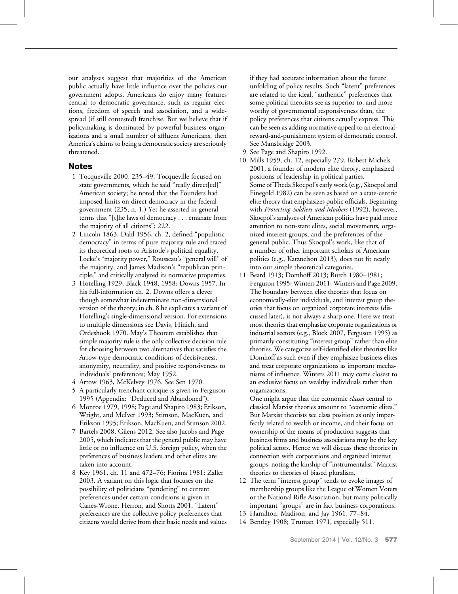our analyses suggest that majorities of the American public actually have little influence over the policies our government adopts. Americans do enjoy many features central to democratic governance, such as regular elections, freedom of speech and association, and a widespread (if still contested) franchise. But we believe that if policymaking is dominated by powerful business organizations and a small number of affluent Americans, then America's claims to being a democratic society are seriously threatened.

## Notes

- 1 Tocqueville 2000, 235–49. Tocqueville focused on state governments, which he said "really direct[ed]" American society; he noted that the Founders had imposed limits on direct democracy in the federal government (235, n. 1.) Yet he asserted in general terms that "[t]he laws of democracy . . . emanate from the majority of all citizens"; 222.
- 2 Lincoln 1863. Dahl 1956, ch. 2, defined "populistic democracy" in terms of pure majority rule and traced its theoretical roots to Aristotle's political equality, Locke's "majority power," Rousseau's "general will" of the majority, and James Madison's "republican principle," and critically analyzed its normative properties.
- 3 Hotelling 1929; Black 1948, 1958; Downs 1957. In his full-information ch. 2, Downs offers a clever though somewhat indeterminate non-dimensional version of the theory; in ch. 8 he explicates a variant of Hotelling's single-dimensional version. For extensions to multiple dimensions see Davis, Hinich, and Ordeshook 1970. May's Theorem establishes that simple majority rule is the only collective decision rule for choosing between two alternatives that satisfies the Arrow-type democratic conditions of decisiveness, anonymity, neutrality, and positive responsiveness to individuals' preferences; May 1952.
- 4 Arrow 1963, McKelvey 1976. See Sen 1970.
- 5 A particularly trenchant critique is given in Ferguson 1995 (Appendix: "Deduced and Abandoned").
- 6 Monroe 1979, 1998; Page and Shapiro 1983; Erikson, Wright, and McIver 1993; Stimson, MacKuen, and Erikson 1995; Erikson, MacKuen, and Stimson 2002.
- 7 Bartels 2008, Gilens 2012. See also Jacobs and Page 2005, which indicates that the general public may have little or no influence on U.S. foreign policy, when the preferences of business leaders and other elites are taken into account.
- 8 Key 1961, ch. 11 and 472–76; Fiorina 1981; Zaller 2003. A variant on this logic that focuses on the possibility of politicians "pandering" to current preferences under certain conditions is given in Canes-Wrone, Herron, and Shotts 2001. "Latent" preferences are the collective policy preferences that citizens would derive from their basic needs and values

if they had accurate information about the future unfolding of policy results. Such "latent" preferences are related to the ideal, "authentic" preferences that some political theorists see as superior to, and more worthy of governmental responsiveness than, the policy preferences that citizens actually express. This can be seen as adding normative appeal to an electoralreward-and-punishment system of democratic control. See Mansbridge 2003.

- 9 See Page and Shapiro 1992.
- 10 Mills 1959, ch. 12, especially 279. Robert Michels 2001, a founder of modern elite theory, emphasized positions of leadership in political parties. Some of Theda Skocpol's early work (e.g., Skocpol and Finegold 1982) can be seen as based on a state-centric elite theory that emphasizes public officials. Beginning with Protecting Soldiers and Mothers (1992), however, Skocpol's analyses of American politics have paid more attention to non-state elites, social movements, organized interest groups, and the preferences of the general public. Thus Skocpol's work, like that of a number of other important scholars of American politics (e.g., Katznelson 2013), does not fit neatly into our simple theoretical categories.
- 11 Beard 1913; Domhoff 2013; Burch 1980–1981; Ferguson 1995; Winters 2011; Winters and Page 2009. The boundary between elite theories that focus on economically-elite individuals, and interest group theories that focus on organized corporate interests (discussed later), is not always a sharp one. Here we treat most theories that emphasize corporate organizations or industrial sectors (e.g., Block 2007, Ferguson 1995) as primarily constituting "interest group" rather than elite theories. We categorize self-identified elite theorists like Domhoff as such even if they emphasize business elites and treat corporate organizations as important mechanisms of influence. Winters 2011 may come closest to an exclusive focus on wealthy individuals rather than organizations.

One might argue that the economic *classes* central to classical Marxist theories amount to "economic elites." But Marxist theorists see class position as only imperfectly related to wealth or income, and their focus on ownership of the means of production suggests that business firms and business associations may be the key political actors. Hence we will discuss these theories in connection with corporations and organized interest groups, noting the kinship of "instrumentalist" Marxist theories to theories of biased pluralism.

- 12 The term "interest group" tends to evoke images of membership groups like the League of Women Voters or the National Rifle Association, but many politically important "groups" are in fact business corporations.
- 13 Hamilton, Madison, and Jay 1961, 77–84.
- 14 Bentley 1908; Truman 1971, especially 511.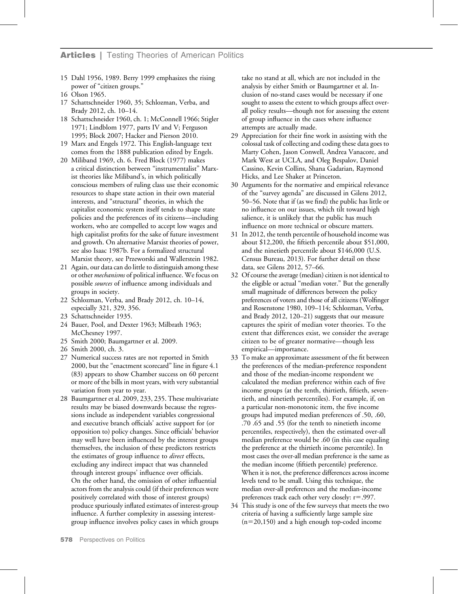- 15 Dahl 1956, 1989. Berry 1999 emphasizes the rising power of "citizen groups."
- 16 Olson 1965.
- 17 Schattschneider 1960, 35; Schlozman, Verba, and Brady 2012, ch. 10–14.
- 18 Schattschneider 1960, ch. 1; McConnell 1966; Stigler 1971; Lindblom 1977, parts IV and V; Ferguson 1995; Block 2007; Hacker and Pierson 2010.
- 19 Marx and Engels 1972. This English-language text comes from the 1888 publication edited by Engels.
- 20 Miliband 1969, ch. 6. Fred Block (1977) makes a critical distinction between "instrumentalist" Marxist theories like Miliband's, in which politically conscious members of ruling class use their economic resources to shape state action in their own material interests, and "structural" theories, in which the capitalist economic system itself tends to shape state policies and the preferences of its citizens—including workers, who are compelled to accept low wages and high capitalist profits for the sake of future investment and growth. On alternative Marxist theories of power, see also Isaac 1987b. For a formalized structural Marxist theory, see Przeworski and Wallerstein 1982.
- 21 Again, our data can do little to distinguish among these or other mechanisms of political influence. We focus on possible *sources* of influence among individuals and groups in society.
- 22 Schlozman, Verba, and Brady 2012, ch. 10–14, especially 321, 329, 356.
- 23 Schattschneider 1935.
- 24 Bauer, Pool, and Dexter 1963; Milbrath 1963; McChesney 1997.
- 25 Smith 2000; Baumgartner et al. 2009.
- 26 Smith 2000, ch. 3.
- 27 Numerical success rates are not reported in Smith 2000, but the "enactment scorecard" line in figure 4.1 (83) appears to show Chamber success on 60 percent or more of the bills in most years, with very substantial variation from year to year.
- 28 Baumgartner et al. 2009, 233, 235. These multivariate results may be biased downwards because the regressions include as independent variables congressional and executive branch officials' active support for (or opposition to) policy changes. Since officials' behavior may well have been influenced by the interest groups themselves, the inclusion of these predictors restricts the estimates of group influence to *direct* effects, excluding any indirect impact that was channeled through interest groups' influence over officials. On the other hand, the omission of other influential actors from the analysis could (if their preferences were positively correlated with those of interest groups) produce spuriously inflated estimates of interest-group influence. A further complexity in assessing interestgroup influence involves policy cases in which groups

take no stand at all, which are not included in the analysis by either Smith or Baumgartner et al. Inclusion of no-stand cases would be necessary if one sought to assess the extent to which groups affect overall policy results—though not for assessing the extent of group influence in the cases where influence attempts are actually made.

- 29 Appreciation for their fine work in assisting with the colossal task of collecting and coding these data goes to Marty Cohen, Jason Conwell, Andrea Vanacore, and Mark West at UCLA, and Oleg Bespalov, Daniel Cassino, Kevin Collins, Shana Gadarian, Raymond Hicks, and Lee Shaker at Princeton.
- 30 Arguments for the normative and empirical relevance of the "survey agenda" are discussed in Gilens 2012, 50–56. Note that if (as we find) the public has little or no influence on our issues, which tilt toward high salience, it is unlikely that the public has much influence on more technical or obscure matters.
- 31 In 2012, the tenth percentile of household income was about \$12,200, the fiftieth percentile about \$51,000, and the ninetieth percentile about \$146,000 (U.S. Census Bureau, 2013). For further detail on these data, see Gilens 2012, 57–66.
- 32 Of course the average (median) citizen is not identical to the eligible or actual "median voter." But the generally small magnitude of differences between the policy preferences of voters and those of all citizens (Wolfinger and Rosenstone 1980, 109–114; Schlozman, Verba, and Brady 2012, 120–21) suggests that our measure captures the spirit of median voter theories. To the extent that differences exist, we consider the average citizen to be of greater normative—though less empirical—importance.
- 33 To make an approximate assessment of the fit between the preferences of the median-preference respondent and those of the median-income respondent we calculated the median preference within each of five income groups (at the tenth, thirtieth, fiftieth, seventieth, and ninetieth percentiles). For example, if, on a particular non-monotonic item, the five income groups had imputed median preferences of .50, .60, .70 .65 and .55 (for the tenth to ninetieth income percentiles, respectively), then the estimated over-all median preference would be .60 (in this case equaling the preference at the thirtieth income percentile). In most cases the over-all median preference is the same as the median income (fiftieth percentile) preference. When it is not, the preference differences across income levels tend to be small. Using this technique, the median over-all preferences and the median-income preferences track each other very closely:  $r = .997$ .
- 34 This study is one of the few surveys that meets the two criteria of having a sufficiently large sample size  $(n=20,150)$  and a high enough top-coded income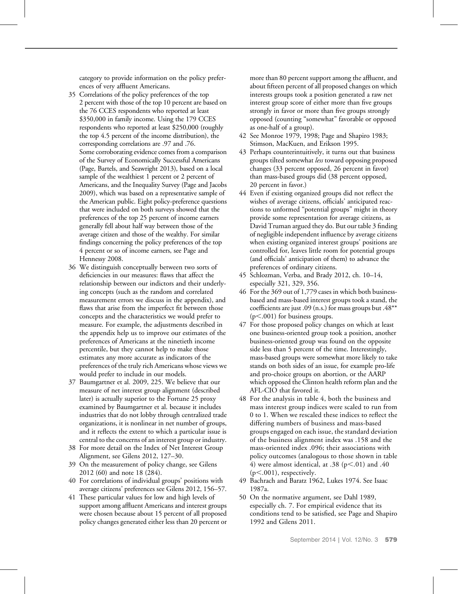category to provide information on the policy preferences of very affluent Americans.

- 35 Correlations of the policy preferences of the top 2 percent with those of the top 10 percent are based on the 76 CCES respondents who reported at least \$350,000 in family income. Using the 179 CCES respondents who reported at least \$250,000 (roughly the top 4.5 percent of the income distribution), the corresponding correlations are .97 and .76. Some corroborating evidence comes from a comparison of the Survey of Economically Successful Americans (Page, Bartels, and Seawright 2013), based on a local sample of the wealthiest 1 percent or 2 percent of Americans, and the Inequality Survey (Page and Jacobs 2009), which was based on a representative sample of the American public. Eight policy-preference questions that were included on both surveys showed that the preferences of the top 25 percent of income earners generally fell about half way between those of the average citizen and those of the wealthy. For similar findings concerning the policy preferences of the top 4 percent or so of income earners, see Page and Hennessy 2008.
- 36 We distinguish conceptually between two sorts of deficiencies in our measures: flaws that affect the relationship between our indictors and their underlying concepts (such as the random and correlated measurement errors we discuss in the appendix), and flaws that arise from the imperfect fit between those concepts and the characteristics we would prefer to measure. For example, the adjustments described in the appendix help us to improve our estimates of the preferences of Americans at the ninetieth income percentile, but they cannot help to make those estimates any more accurate as indicators of the preferences of the truly rich Americans whose views we would prefer to include in our models.
- 37 Baumgartner et al. 2009, 225. We believe that our measure of net interest group alignment (described later) is actually superior to the Fortune 25 proxy examined by Baumgartner et al. because it includes industries that do not lobby through centralized trade organizations, it is nonlinear in net number of groups, and it reflects the extent to which a particular issue is central to the concerns of an interest group or industry.
- 38 For more detail on the Index of Net Interest Group Alignment, see Gilens 2012, 127–30.
- 39 On the measurement of policy change, see Gilens 2012 (60) and note 18 (284).
- 40 For correlations of individual groups' positions with average citizens' preferences see Gilens 2012, 156–57.
- 41 These particular values for low and high levels of support among affluent Americans and interest groups were chosen because about 15 percent of all proposed policy changes generated either less than 20 percent or

more than 80 percent support among the affluent, and about fifteen percent of all proposed changes on which interests groups took a position generated a raw net interest group score of either more than five groups strongly in favor or more than five groups strongly opposed (counting "somewhat" favorable or opposed as one-half of a group).

- 42 See Monroe 1979, 1998; Page and Shapiro 1983; Stimson, MacKuen, and Erikson 1995.
- 43 Perhaps counterintuitively, it turns out that business groups tilted somewhat less toward opposing proposed changes (33 percent opposed, 26 percent in favor) than mass-based groups did (38 percent opposed, 20 percent in favor.)
- 44 Even if existing organized groups did not reflect the wishes of average citizens, officials' anticipated reactions to unformed "potential groups" might in theory provide some representation for average citizens, as David Truman argued they do. But our table 3 finding of negligible independent influence by average citizens when existing organized interest groups' positions are controlled for, leaves little room for potential groups (and officials' anticipation of them) to advance the preferences of ordinary citizens.
- 45 Schlozman, Verba, and Brady 2012, ch. 10–14, especially 321, 329, 356.
- 46 For the 369 out of 1,779 cases in which both businessbased and mass-based interest groups took a stand, the coefficients are just .09 (n.s.) for mass groups but .48\*\*  $(p<.001)$  for business groups.
- 47 For those proposed policy changes on which at least one business-oriented group took a position, another business-oriented group was found on the opposite side less than 5 percent of the time. Interestingly, mass-based groups were somewhat more likely to take stands on both sides of an issue, for example pro-life and pro-choice groups on abortion, or the AARP which opposed the Clinton health reform plan and the AFL-CIO that favored it.
- 48 For the analysis in table 4, both the business and mass interest group indices were scaled to run from 0 to 1. When we rescaled these indices to reflect the differing numbers of business and mass-based groups engaged on each issue, the standard deviation of the business alignment index was .158 and the mass-oriented index .096; their associations with policy outcomes (analogous to those shown in table 4) were almost identical, at .38 ( $p<.01$ ) and .40  $(p<.001)$ , respectively.
- 49 Bachrach and Baratz 1962, Lukes 1974. See Isaac 1987a.
- 50 On the normative argument, see Dahl 1989, especially ch. 7. For empirical evidence that its conditions tend to be satisfied, see Page and Shapiro 1992 and Gilens 2011.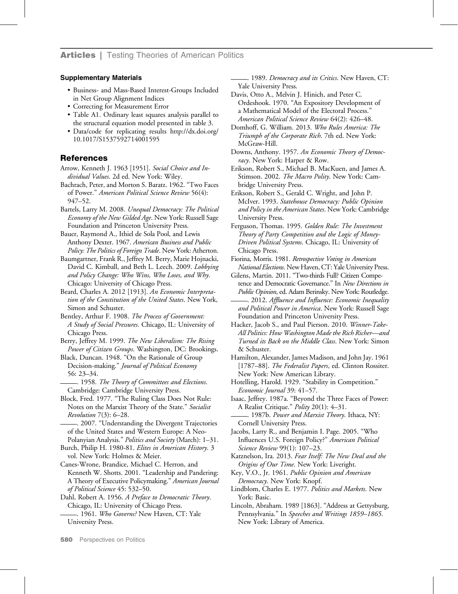#### Supplementary Materials

- Business- and Mass-Based Interest-Groups Included in Net Group Alignment Indices
- Correcting for Measurement Error
- Table A1. Ordinary least squares analysis parallel to the structural equation model presented in table 3.
- Data/code for replicating results http://dx.doi.org/ 10.1017/S1537592714001595

#### **References**

- Arrow, Kenneth J. 1963 [1951]. Social Choice and Individual Values. 2d ed. New York: Wiley.
- Bachrach, Peter, and Morton S. Baratz. 1962. "Two Faces of Power." American Political Science Review 56(4): 947–52.
- Bartels, Larry M. 2008. Unequal Democracy: The Political Economy of the New Gilded Age. New York: Russell Sage Foundation and Princeton University Press.
- Bauer, Raymond A., Ithiel de Sola Pool, and Lewis Anthony Dexter. 1967. American Business and Public Policy: The Politics of Foreign Trade. New York: Atherton.
- Baumgartner, Frank R., Jeffrey M. Berry, Marie Hojnacki, David C. Kimball, and Beth L. Leech. 2009. Lobbying and Policy Change: Who Wins, Who Loses, and Why. Chicago: University of Chicago Press.
- Beard, Charles A. 2012 [1913]. An Economic Interpretation of the Constitution of the United States. New York, Simon and Schuster.
- Bentley, Arthur F. 1908. The Process of Government: A Study of Social Pressures. Chicago, IL: University of Chicago Press.
- Berry, Jeffrey M. 1999. The New Liberalism: The Rising Power of Citizen Groups. Washington, DC: Brookings.
- Black, Duncan. 1948. "On the Rationale of Group Decision-making." Journal of Political Economy 56: 23–34.
- . 1958. The Theory of Committees and Elections. Cambridge: Cambridge University Press.
- Block, Fred. 1977. "The Ruling Class Does Not Rule: Notes on the Marxist Theory of the State." Socialist Revolution 7(3): 6–28.
- . 2007. "Understanding the Divergent Trajectories of the United States and Western Europe: A Neo-Polanyian Analysis." Politics and Society (March): 1-31.
- Burch, Philip H. 1980-81. Elites in American History. 3 vol. New York: Holmes & Meier.
- Canes-Wrone, Brandice, Michael C. Herron, and Kenneth W. Shotts. 2001. "Leadership and Pandering: A Theory of Executive Policymaking." American Journal of Political Science 45: 532–50.

Dahl, Robert A. 1956. A Preface to Democratic Theory. Chicago, IL: University of Chicago Press.

. 1961. Who Governs? New Haven, CT: Yale University Press.

- -. 1989. Democracy and its Critics. New Haven, CT: Yale University Press.
- Davis, Otto A., Melvin J. Hinich, and Peter C. Ordeshook. 1970. "An Expository Development of a Mathematical Model of the Electoral Process." American Political Science Review 64(2): 426–48.
- Domhoff, G. William. 2013. Who Rules America: The Triumph of the Corporate Rich. 7th ed. New York: McGraw-Hill.
- Downs, Anthony. 1957. An Economic Theory of Democracy. New York: Harper & Row.
- Erikson, Robert S., Michael B. MacKuen, and James A. Stimson. 2002. The Macro Polity. New York: Cambridge University Press.
- Erikson, Robert S., Gerald C. Wright, and John P. McIver. 1993. Statehouse Democracy: Public Opinion and Policy in the American States. New York: Cambridge University Press.
- Ferguson, Thomas. 1995. Golden Rule: The Investment Theory of Party Competition and the Logic of Money-Driven Political Systems. Chicago, IL: University of Chicago Press.
- Fiorina, Morris. 1981. Retrospective Voting in American National Elections. New Haven, CT: Yale University Press.
- Gilens, Martin. 2011. "Two-thirds Full? Citizen Competence and Democratic Governance." In New Directions in Public Opinion, ed. Adam Berinsky. New York: Routledge. . 2012. Affluence and Influence: Economic Inequality
- and Political Power in America. New York: Russell Sage Foundation and Princeton University Press.
- Hacker, Jacob S., and Paul Pierson. 2010. Winner-Take-All Politics: How Washington Made the Rich Richer—and Turned its Back on the Middle Class. New York: Simon & Schuster.
- Hamilton, Alexander, James Madison, and John Jay. 1961 [1787–88]. The Federalist Papers, ed. Clinton Rossiter. New York: New American Library.
- Hotelling, Harold. 1929. "Stability in Competition." Economic Journal 39: 41–57.
- Isaac, Jeffrey. 1987a. "Beyond the Three Faces of Power: A Realist Critique." Polity 20(1): 4–31.
- . 1987b. Power and Marxist Theory. Ithaca, NY: Cornell University Press.
- Jacobs, Larry R., and Benjamin I. Page. 2005. "Who Influences U.S. Foreign Policy?" American Political Science Review 99(1): 107–23.
- Katznelson, Ira. 2013. Fear Itself: The New Deal and the Origins of Our Time. New York: Liveright.
- Key, V.O., Jr. 1961. Public Opinion and American Democracy. New York: Knopf.
- Lindblom, Charles E. 1977. Politics and Markets. New York: Basic.
- Lincoln, Abraham. 1989 [1863]. "Address at Gettysburg, Pennsylvania." In Speeches and Writings 1859-1865. New York: Library of America.